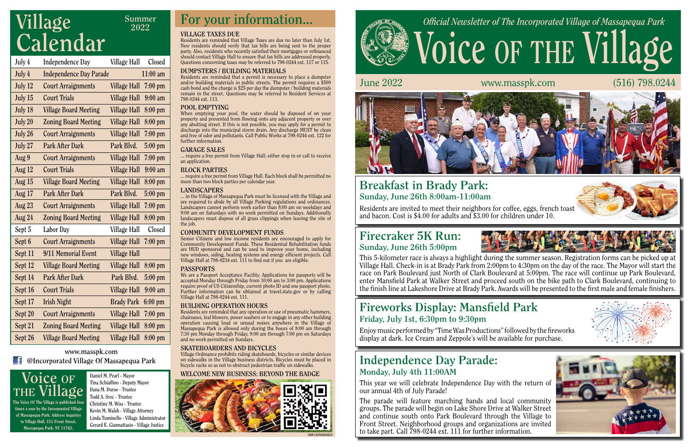# **Voice of the Village** *Official Newsletter of The Incorporated Village of Massapequa Park*



June 2022 www.masspk.com (516) 798.0244









**Daniel M. Pearl - Mayor Tina Schiaffino - Deputy Mayor Dana M. Durso - Trustee Todd A. Svec - Trustee Christine M. Wiss - Trustee Kevin M. Walsh - Village Attorney Linda Tuminello - Village Administrator Gerard E. Giannattasio - Village Justice**



The Voice Of The Village is published four times a year by the Incorporated Village of Massapequa Park. Address inquiries to Village Hall, 151 Front Street, Massapequa Park, NY 11762.

#### **Independence Day Parade: Monday, July 4th 11:00AM**

## **Fireworks Display: Mansfield Park Friday, July 1st, 6:30pm to 9:30pm**

This year we will celebrate Independence Day with the return of our annual 4th of July Parade!

The parade will feature marching bands and local community groups. The parade will begin on Lake Shore Drive at Walker Street and continue south onto Park Boulevard through the Village to Front Street. Neighborhood groups and organizations are invited to take part. Call 798-0244 ext. 111 for further information.

Enjoy music performed by "Time Was Productions" followed by the fireworks display at dark. Ice Cream and Zeppole's will be available for purchase.

#### **Breakfast in Brady Park: Sunday, June 26th 8:00am-11:00am**

Residents are invited to meet their neighbors for coffee, eggs, french toast and bacon. Cost is \$4.00 for adults and \$3.00 for children under 10.

#### **www.masspk.com**

**@Incorporated Village Of Massapequa Park**

#### **VILLAGE TAXES DUE**

Senior Citizens and low income residents are encouraged to apply for Community Development Funds. These Residential Rehabilitation funds are HUD sponsored and can be used to improve your home, including new windows, siding, heating systems and energy efficient projects. Call Village Hall at 798-0234 ext. 111 to find out if you are eligible.

Residents are reminded that Village Taxes are due no later than July 1st. New residents should verify that tax bills are being sent to the proper party. Also, residents who recently satisfied their mortgages or refinanced should contact Village Hall to ensure that tax bills are addressed properly. Questions concerning taxes may be referred to 798-0244 ext. 117 or 115.

#### **DUMPSTERS / BUILDING MATERIALS**

Residents are reminded that a permit is necessary to place a dumpster and/or building materials in public streets. The permit requires a \$500 cash bond and the charge is \$25 per day the dumpster / building materials remain in the street. Questions may be referred to Resident Services at 798-0244 ext. 113.

#### **POOL EMPTYING**

## **Village EXECUTE:** Summer **For your information...**<br>The summer **For your information... Calendar**

When emptying your pool, the water should be disposed of on your property and prevented from flowing onto any adjacent property or over any abutting street. If this is not possible, you may apply for a permit to discharge into the municipal storm drain. Any discharge MUST be clean and free of odor and pollutants. Call Public Works at 798-0244 ext. 122 for further information.

#### **GARAGE SALES**

... require a free permit from Village Hall; either stop in or call to receive an application.

#### **BLOCK PARTIES**

... require a free permit from Village Hall. Each block shall be permitted no more than two block parties per calendar year.

#### **LANDSCAPERS**

... in the Village of Massapequa Park must be licensed with the Village and are required to abide by all Village Parking regulations and ordinances. Landscapers cannot perform work earlier than 8:00 am on weekdays and 9:00 am on Saturdays with no work permitted on Sundays. Additionally landscapers must dispose of all grass clippings when leaving the site of the job.

#### **COMMUNITY DEVELOPMENT FUNDS**

#### **PASSPORTS**

We are a Passport Acceptance Facility. Applications for passports will be accepted Monday through Friday from 10:00 am to 3:00 pm. Applications require proof of US Citizenship, current photo ID and one passport photo. Further information can be obtained at travel.state.gov or by calling Village Hall at 798-0244 ext. 111.

#### **BUILDING OPERATION HOURS**

Residents are reminded that any operation or use of pneumatic hammers, chainsaws, leaf blowers, power washers or to engage in any other building operation causing loud or unusal noises anywhere in the Village of Massapequa Park is allowed only during the hours of 8:00 am through 7:30 pm Monday through Friday, 9:00 am through 7:00 pm on Saturdays and no work permitted on Sundays.

#### **SKATEBOARDERS AND BICYCLES**

Village Ordinance prohibits riding skateboards, bicycles or similar devices on sidewalks in the Village business districts. Bicycles must be placed in bicycle racks so as not to obstruct pedestrian traffic on sidewalks.

#### **WELCOME NEW BUSINESS: BEYOND THE BADGE**



**Summer 2022**



| July 4   | <b>Independence Day</b>        | Village Hall        | Closed            |
|----------|--------------------------------|---------------------|-------------------|
| July 4   | <b>Independence Day Parade</b> |                     | $11:00$ am        |
| July 12  | <b>Court Arraignments</b>      | <b>Village Hall</b> | $7:00$ pm         |
| July 15  | <b>Court Trials</b>            | <b>Village Hall</b> | $9:00$ am         |
| July 18  | <b>Village Board Meeting</b>   | <b>Village Hall</b> | $8:00$ pm         |
| July 20  | <b>Zoning Board Meeting</b>    | <b>Village Hall</b> | 8:00 pm           |
| July 26  | <b>Court Arraignments</b>      | <b>Village Hall</b> | $7:00$ pm         |
| July 27  | <b>Park After Dark</b>         | Park Blvd.          | $5:00$ pm         |
| Aug 9    | <b>Court Arraignments</b>      | <b>Village Hall</b> | $7:00$ pm         |
| Aug $12$ | <b>Court Trials</b>            | <b>Village Hall</b> | $9:00 \text{ am}$ |
| Aug $15$ | <b>Village Board Meeting</b>   | <b>Village Hall</b> | 8:00 pm           |
| Aug 17   | <b>Park After Dark</b>         | Park Blvd.          | $5:00$ pm         |
| Aug $23$ | <b>Court Arraignments</b>      | <b>Village Hall</b> | $7:00$ pm         |
| Aug $24$ | <b>Zoning Board Meeting</b>    | <b>Village Hall</b> | $8:00$ pm         |
| Sept 5   | Labor Day                      | Village Hall        | Closed            |
| Sept 6   | <b>Court Arraignments</b>      | <b>Village Hall</b> | $7:00$ pm         |
| Sept 11  | 9/11 Memorial Event            | <b>Village Hall</b> |                   |
| Sept 12  | <b>Village Board Meeting</b>   | Village Hall        | 8:00 pm           |
| Sept 14  | <b>Park After Dark</b>         | Park Blvd.          | $5:00$ pm         |
| Sept 16  | <b>Court Trials</b>            | Village Hall        | $9:00$ am         |
| Sept 17  | <b>Irish Night</b>             | <b>Brady Park</b>   | $6:00$ pm         |
| Sept 20  | <b>Court Arraignments</b>      | <b>Village Hall</b> | $7:00$ pm         |
| Sept 21  | <b>Zoning Board Meeting</b>    | <b>Village Hall</b> | $8:00$ pm         |
| Sept 26  | <b>Village Board Meeting</b>   | <b>Village Hall</b> | 8:00 pm           |

#### **Firecraker 5K Run: Sunday, June 26th 5:00pm**



This 5-kilometer race is always a highlight during the summer season. Registration forms can be picked up at Village Hall. Check-in is at Brady Park from 2:00pm to 4:30pm on the day of the race. The Mayor will start the race on Park Boulevard just North of Clark Boulevard at 5:00pm. The race will continue up Park Boulevard, enter Mansfield Park at Walker Street and proceed south on the bike path to Clark Boulevard, continuing to the finish line at Lakeshore Drive at Brady Park. Awards will be presented to the first male and female finishers.